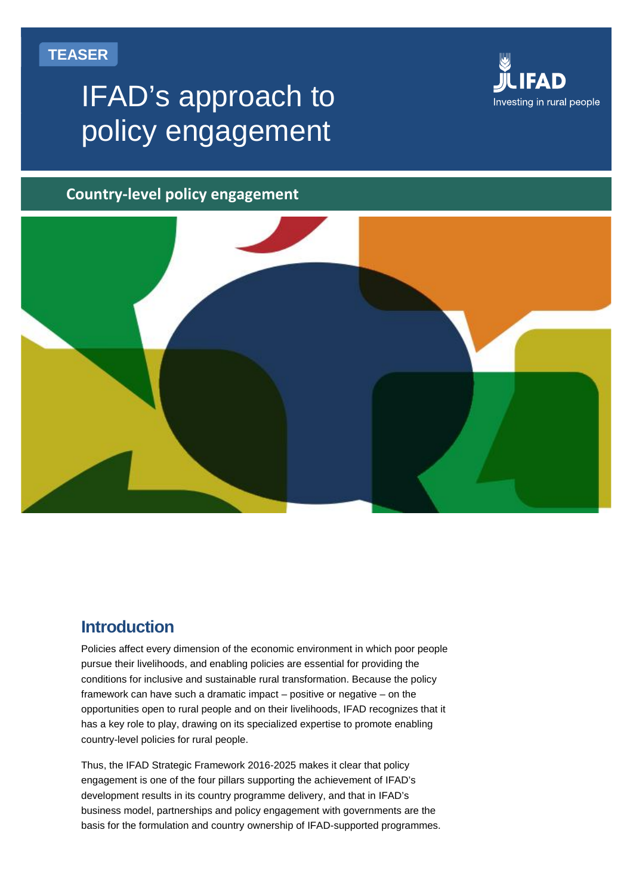# **TEASER**

# IFAD's approach to policy engagement



### **Country-level policy engagement**



# **Introduction**

Policies affect every dimension of the economic environment in which poor people pursue their livelihoods, and enabling policies are essential for providing the conditions for inclusive and sustainable rural transformation. Because the policy framework can have such a dramatic impact – positive or negative – on the opportunities open to rural people and on their livelihoods, IFAD recognizes that it has a key role to play, drawing on its specialized expertise to promote enabling country-level policies for rural people.

Thus, the IFAD Strategic Framework 2016-2025 makes it clear that policy engagement is one of the four pillars supporting the achievement of IFAD's development results in its country programme delivery, and that in IFAD's business model, partnerships and policy engagement with governments are the basis for the formulation and country ownership of IFAD-supported programmes.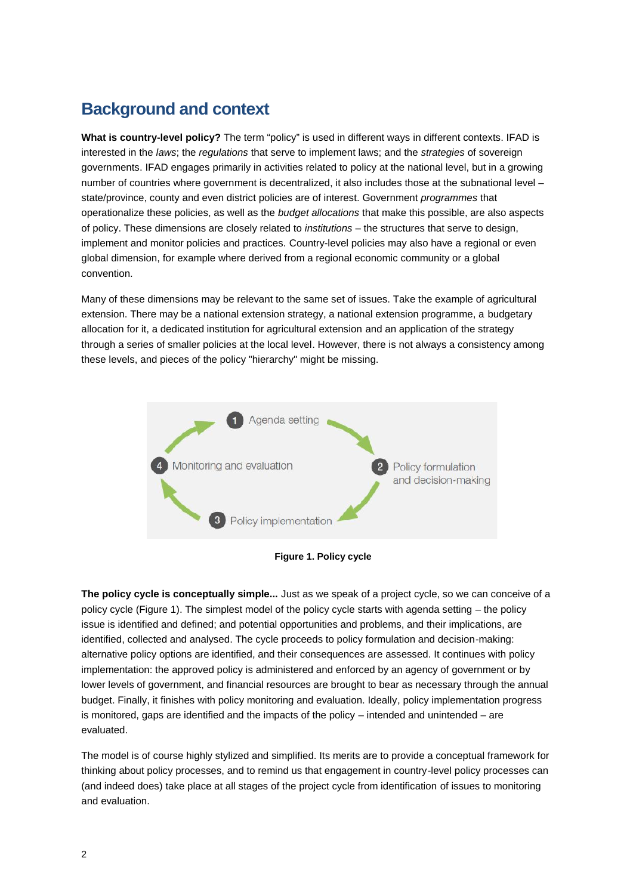# **Background and context**

**What is country-level policy?** The term "policy" is used in different ways in different contexts. IFAD is interested in the *laws*; the *regulations* that serve to implement laws; and the *strategies* of sovereign governments. IFAD engages primarily in activities related to policy at the national level, but in a growing number of countries where government is decentralized, it also includes those at the subnational level – state/province, county and even district policies are of interest. Government *programmes* that operationalize these policies, as well as the *budget allocations* that make this possible, are also aspects of policy. These dimensions are closely related to *institutions* – the structures that serve to design, implement and monitor policies and practices. Country-level policies may also have a regional or even global dimension, for example where derived from a regional economic community or a global convention.

Many of these dimensions may be relevant to the same set of issues. Take the example of agricultural extension. There may be a national extension strategy, a national extension programme, a budgetary allocation for it, a dedicated institution for agricultural extension and an application of the strategy through a series of smaller policies at the local level. However, there is not always a consistency among these levels, and pieces of the policy "hierarchy" might be missing.





**The policy cycle is conceptually simple...** Just as we speak of a project cycle, so we can conceive of a policy cycle (Figure 1). The simplest model of the policy cycle starts with agenda setting – the policy issue is identified and defined; and potential opportunities and problems, and their implications, are identified, collected and analysed. The cycle proceeds to policy formulation and decision-making: alternative policy options are identified, and their consequences are assessed. It continues with policy implementation: the approved policy is administered and enforced by an agency of government or by lower levels of government, and financial resources are brought to bear as necessary through the annual budget. Finally, it finishes with policy monitoring and evaluation. Ideally, policy implementation progress is monitored, gaps are identified and the impacts of the policy – intended and unintended – are evaluated.

The model is of course highly stylized and simplified. Its merits are to provide a conceptual framework for thinking about policy processes, and to remind us that engagement in country-level policy processes can (and indeed does) take place at all stages of the project cycle from identification of issues to monitoring and evaluation.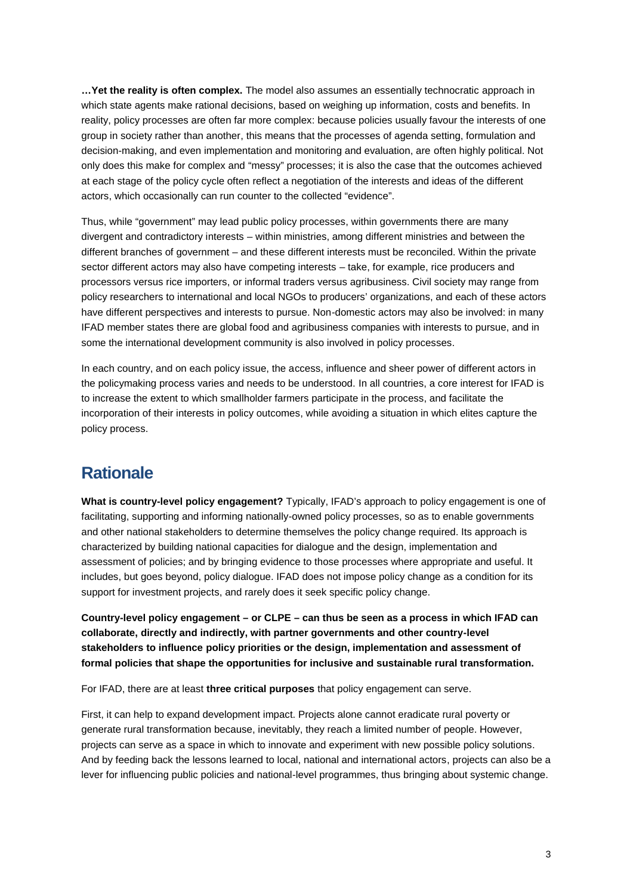**…Yet the reality is often complex.** The model also assumes an essentially technocratic approach in which state agents make rational decisions, based on weighing up information, costs and benefits. In reality, policy processes are often far more complex: because policies usually favour the interests of one group in society rather than another, this means that the processes of agenda setting, formulation and decision-making, and even implementation and monitoring and evaluation, are often highly political. Not only does this make for complex and "messy" processes; it is also the case that the outcomes achieved at each stage of the policy cycle often reflect a negotiation of the interests and ideas of the different actors, which occasionally can run counter to the collected "evidence".

Thus, while "government" may lead public policy processes, within governments there are many divergent and contradictory interests – within ministries, among different ministries and between the different branches of government – and these different interests must be reconciled. Within the private sector different actors may also have competing interests – take, for example, rice producers and processors versus rice importers, or informal traders versus agribusiness. Civil society may range from policy researchers to international and local NGOs to producers' organizations, and each of these actors have different perspectives and interests to pursue. Non-domestic actors may also be involved: in many IFAD member states there are global food and agribusiness companies with interests to pursue, and in some the international development community is also involved in policy processes.

In each country, and on each policy issue, the access, influence and sheer power of different actors in the policymaking process varies and needs to be understood. In all countries, a core interest for IFAD is to increase the extent to which smallholder farmers participate in the process, and facilitate the incorporation of their interests in policy outcomes, while avoiding a situation in which elites capture the policy process.

# **Rationale**

**What is country-level policy engagement?** Typically, IFAD's approach to policy engagement is one of facilitating, supporting and informing nationally-owned policy processes, so as to enable governments and other national stakeholders to determine themselves the policy change required. Its approach is characterized by building national capacities for dialogue and the design, implementation and assessment of policies; and by bringing evidence to those processes where appropriate and useful. It includes, but goes beyond, policy dialogue. IFAD does not impose policy change as a condition for its support for investment projects, and rarely does it seek specific policy change.

**Country-level policy engagement – or CLPE – can thus be seen as a process in which IFAD can collaborate, directly and indirectly, with partner governments and other country-level stakeholders to influence policy priorities or the design, implementation and assessment of formal policies that shape the opportunities for inclusive and sustainable rural transformation.**

For IFAD, there are at least **three critical purposes** that policy engagement can serve.

First, it can help to expand development impact. Projects alone cannot eradicate rural poverty or generate rural transformation because, inevitably, they reach a limited number of people. However, projects can serve as a space in which to innovate and experiment with new possible policy solutions. And by feeding back the lessons learned to local, national and international actors, projects can also be a lever for influencing public policies and national-level programmes, thus bringing about systemic change.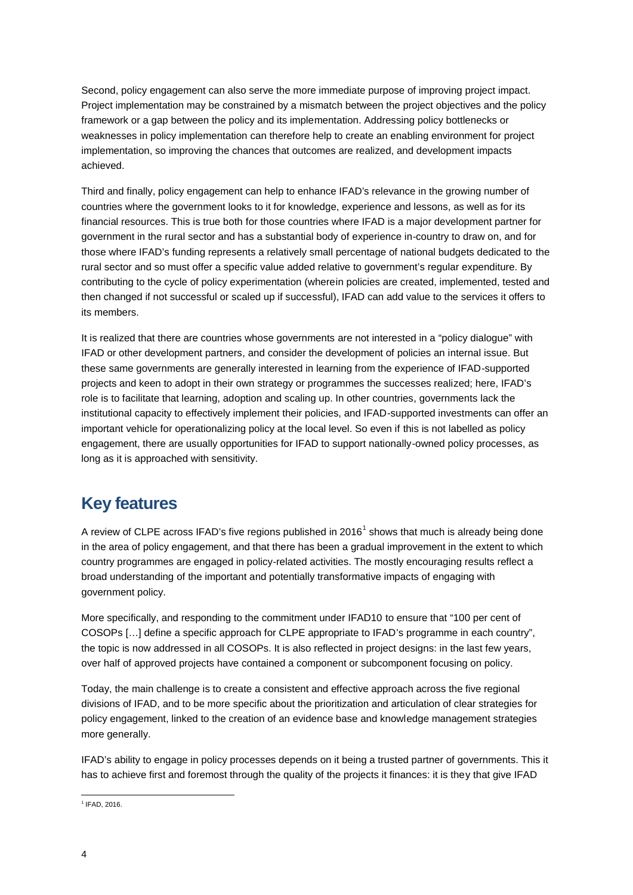Second, policy engagement can also serve the more immediate purpose of improving project impact. Project implementation may be constrained by a mismatch between the project objectives and the policy framework or a gap between the policy and its implementation. Addressing policy bottlenecks or weaknesses in policy implementation can therefore help to create an enabling environment for project implementation, so improving the chances that outcomes are realized, and development impacts achieved.

Third and finally, policy engagement can help to enhance IFAD's relevance in the growing number of countries where the government looks to it for knowledge, experience and lessons, as well as for its financial resources. This is true both for those countries where IFAD is a major development partner for government in the rural sector and has a substantial body of experience in-country to draw on, and for those where IFAD's funding represents a relatively small percentage of national budgets dedicated to the rural sector and so must offer a specific value added relative to government's regular expenditure. By contributing to the cycle of policy experimentation (wherein policies are created, implemented, tested and then changed if not successful or scaled up if successful), IFAD can add value to the services it offers to its members.

It is realized that there are countries whose governments are not interested in a "policy dialogue" with IFAD or other development partners, and consider the development of policies an internal issue. But these same governments are generally interested in learning from the experience of IFAD-supported projects and keen to adopt in their own strategy or programmes the successes realized; here, IFAD's role is to facilitate that learning, adoption and scaling up. In other countries, governments lack the institutional capacity to effectively implement their policies, and IFAD-supported investments can offer an important vehicle for operationalizing policy at the local level. So even if this is not labelled as policy engagement, there are usually opportunities for IFAD to support nationally-owned policy processes, as long as it is approached with sensitivity.

# **Key features**

A review of CLPE across IFAD's five regions published in  $2016<sup>1</sup>$  shows that much is already being done in the area of policy engagement, and that there has been a gradual improvement in the extent to which country programmes are engaged in policy-related activities. The mostly encouraging results reflect a broad understanding of the important and potentially transformative impacts of engaging with government policy.

More specifically, and responding to the commitment under IFAD10 to ensure that "100 per cent of COSOPs […] define a specific approach for CLPE appropriate to IFAD's programme in each country", the topic is now addressed in all COSOPs. It is also reflected in project designs: in the last few years, over half of approved projects have contained a component or subcomponent focusing on policy.

Today, the main challenge is to create a consistent and effective approach across the five regional divisions of IFAD, and to be more specific about the prioritization and articulation of clear strategies for policy engagement, linked to the creation of an evidence base and knowledge management strategies more generally.

IFAD's ability to engage in policy processes depends on it being a trusted partner of governments. This it has to achieve first and foremost through the quality of the projects it finances: it is they that give IFAD

<sup>1</sup> IFAD, 2016.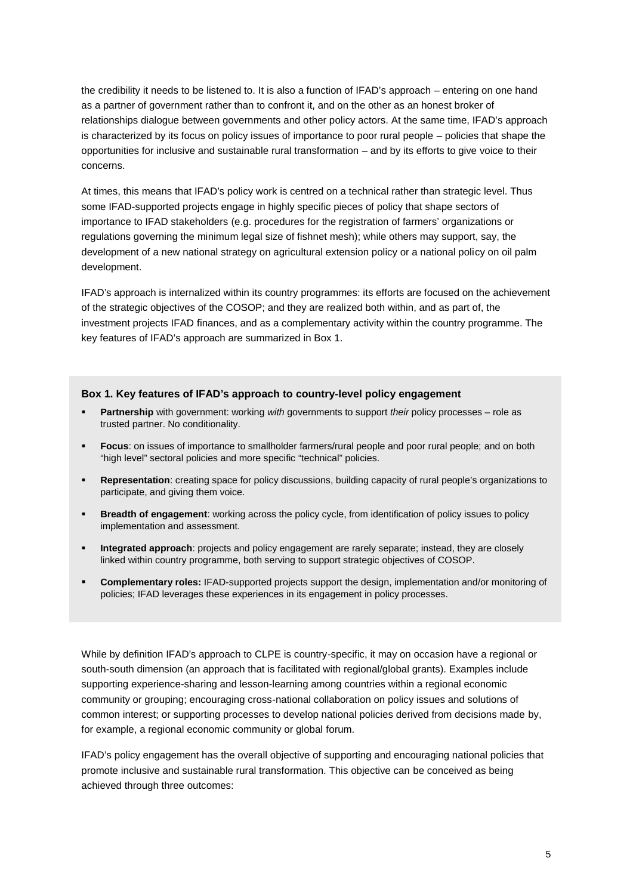the credibility it needs to be listened to. It is also a function of IFAD's approach – entering on one hand as a partner of government rather than to confront it, and on the other as an honest broker of relationships dialogue between governments and other policy actors. At the same time, IFAD's approach is characterized by its focus on policy issues of importance to poor rural people – policies that shape the opportunities for inclusive and sustainable rural transformation – and by its efforts to give voice to their concerns.

At times, this means that IFAD's policy work is centred on a technical rather than strategic level. Thus some IFAD-supported projects engage in highly specific pieces of policy that shape sectors of importance to IFAD stakeholders (e.g. procedures for the registration of farmers' organizations or regulations governing the minimum legal size of fishnet mesh); while others may support, say, the development of a new national strategy on agricultural extension policy or a national policy on oil palm development.

IFAD's approach is internalized within its country programmes: its efforts are focused on the achievement of the strategic objectives of the COSOP; and they are realized both within, and as part of, the investment projects IFAD finances, and as a complementary activity within the country programme. The key features of IFAD's approach are summarized in Box 1.

#### **Box 1. Key features of IFAD's approach to country-level policy engagement**

- **Partnership** with government: working *with* governments to support *their* policy processes role as trusted partner. No conditionality.
- **Focus**: on issues of importance to smallholder farmers/rural people and poor rural people; and on both "high level" sectoral policies and more specific "technical" policies.
- **Representation**: creating space for policy discussions, building capacity of rural people's organizations to participate, and giving them voice.
- **Breadth of engagement**: working across the policy cycle, from identification of policy issues to policy implementation and assessment.
- **Integrated approach**: projects and policy engagement are rarely separate; instead, they are closely linked within country programme, both serving to support strategic objectives of COSOP.
- **Complementary roles:** IFAD-supported projects support the design, implementation and/or monitoring of policies; IFAD leverages these experiences in its engagement in policy processes.

While by definition IFAD's approach to CLPE is country-specific, it may on occasion have a regional or south-south dimension (an approach that is facilitated with regional/global grants). Examples include supporting experience-sharing and lesson-learning among countries within a regional economic community or grouping; encouraging cross-national collaboration on policy issues and solutions of common interest; or supporting processes to develop national policies derived from decisions made by, for example, a regional economic community or global forum.

IFAD's policy engagement has the overall objective of supporting and encouraging national policies that promote inclusive and sustainable rural transformation. This objective can be conceived as being achieved through three outcomes: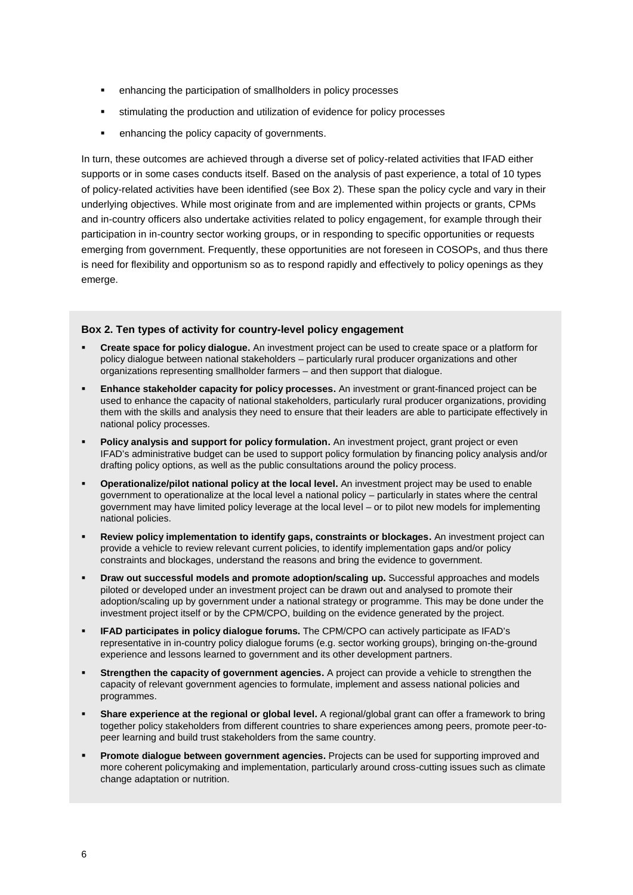- enhancing the participation of smallholders in policy processes
- stimulating the production and utilization of evidence for policy processes
- enhancing the policy capacity of governments.

In turn, these outcomes are achieved through a diverse set of policy-related activities that IFAD either supports or in some cases conducts itself. Based on the analysis of past experience, a total of 10 types of policy-related activities have been identified (see Box 2). These span the policy cycle and vary in their underlying objectives. While most originate from and are implemented within projects or grants, CPMs and in-country officers also undertake activities related to policy engagement, for example through their participation in in-country sector working groups, or in responding to specific opportunities or requests emerging from government. Frequently, these opportunities are not foreseen in COSOPs, and thus there is need for flexibility and opportunism so as to respond rapidly and effectively to policy openings as they emerge.

#### **Box 2. Ten types of activity for country-level policy engagement**

- **Create space for policy dialogue.** An investment project can be used to create space or a platform for policy dialogue between national stakeholders – particularly rural producer organizations and other organizations representing smallholder farmers – and then support that dialogue.
- **Enhance stakeholder capacity for policy processes.** An investment or grant-financed project can be used to enhance the capacity of national stakeholders, particularly rural producer organizations, providing them with the skills and analysis they need to ensure that their leaders are able to participate effectively in national policy processes.
- **Policy analysis and support for policy formulation.** An investment project, grant project or even IFAD's administrative budget can be used to support policy formulation by financing policy analysis and/or drafting policy options, as well as the public consultations around the policy process.
- **Operationalize/pilot national policy at the local level.** An investment project may be used to enable government to operationalize at the local level a national policy – particularly in states where the central government may have limited policy leverage at the local level – or to pilot new models for implementing national policies.
- **Review policy implementation to identify gaps, constraints or blockages.** An investment project can provide a vehicle to review relevant current policies, to identify implementation gaps and/or policy constraints and blockages, understand the reasons and bring the evidence to government.
- **Draw out successful models and promote adoption/scaling up.** Successful approaches and models piloted or developed under an investment project can be drawn out and analysed to promote their adoption/scaling up by government under a national strategy or programme. This may be done under the investment project itself or by the CPM/CPO, building on the evidence generated by the project.
- **IFAD participates in policy dialogue forums.** The CPM/CPO can actively participate as IFAD's representative in in-country policy dialogue forums (e.g. sector working groups), bringing on-the-ground experience and lessons learned to government and its other development partners.
- **Strengthen the capacity of government agencies.** A project can provide a vehicle to strengthen the capacity of relevant government agencies to formulate, implement and assess national policies and programmes.
- **Share experience at the regional or global level.** A regional/global grant can offer a framework to bring together policy stakeholders from different countries to share experiences among peers, promote peer-to peer learning and build trust stakeholders from the same country.
- **Promote dialogue between government agencies.** Projects can be used for supporting improved and more coherent policymaking and implementation, particularly around cross-cutting issues such as climate change adaptation or nutrition.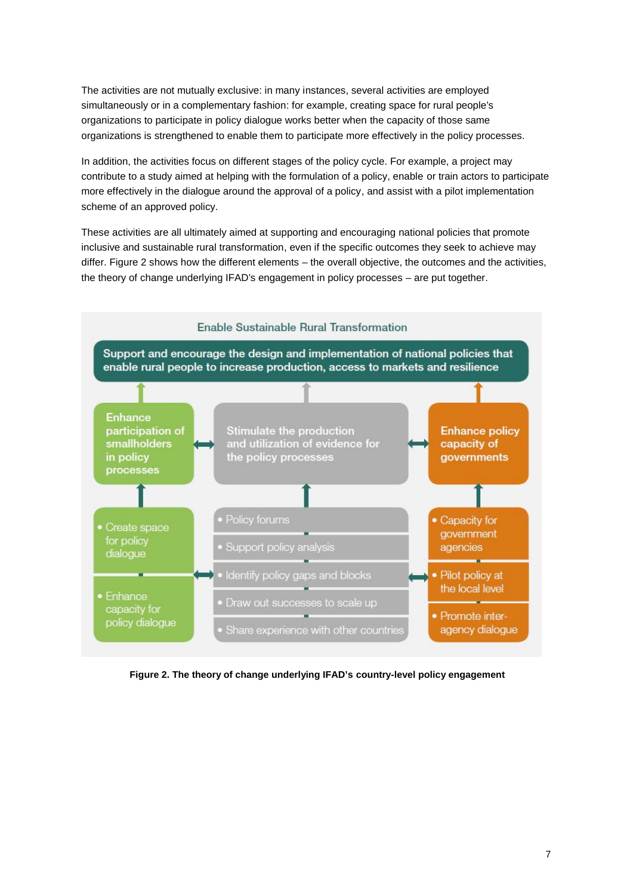The activities are not mutually exclusive: in many instances, several activities are employed simultaneously or in a complementary fashion: for example, creating space for rural people's organizations to participate in policy dialogue works better when the capacity of those same organizations is strengthened to enable them to participate more effectively in the policy processes.

In addition, the activities focus on different stages of the policy cycle. For example, a project may contribute to a study aimed at helping with the formulation of a policy, enable or train actors to participate more effectively in the dialogue around the approval of a policy, and assist with a pilot implementation scheme of an approved policy.

These activities are all ultimately aimed at supporting and encouraging national policies that promote inclusive and sustainable rural transformation, even if the specific outcomes they seek to achieve may differ. Figure 2 shows how the different elements – the overall objective, the outcomes and the activities, the theory of change underlying IFAD's engagement in policy processes – are put together.



**Figure 2. The theory of change underlying IFAD's country-level policy engagement**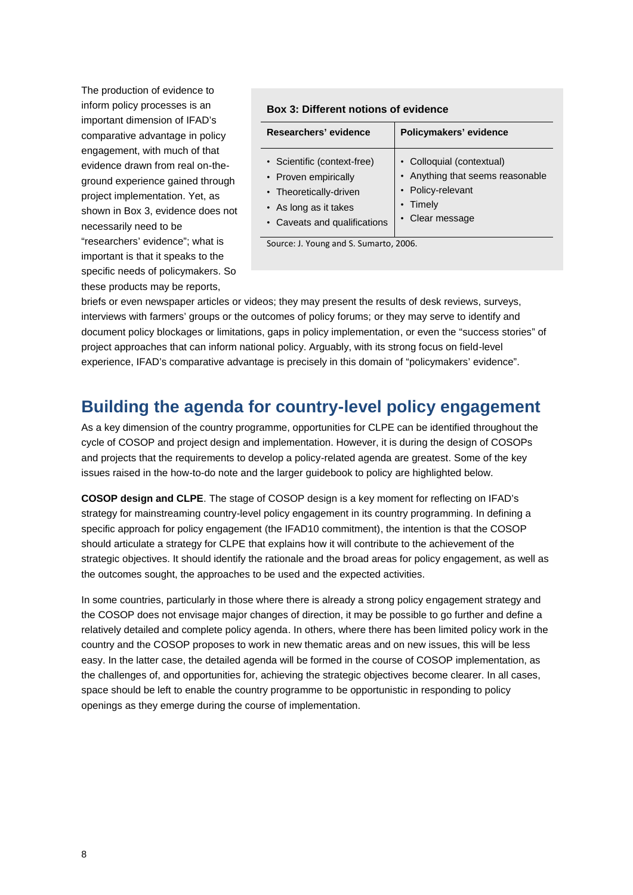The production of evidence to inform policy processes is an important dimension of IFAD's comparative advantage in policy engagement, with much of that evidence drawn from real on-the ground experience gained through project implementation. Yet, as shown in Box 3, evidence does not necessarily need to be "researchers' evidence"; what is important is that it speaks to the specific needs of policymakers. So these products may be reports,

#### **Box 3: Different notions of evidence**

| Researchers' evidence                                                                                                                  | Policymakers' evidence                                                                                          |
|----------------------------------------------------------------------------------------------------------------------------------------|-----------------------------------------------------------------------------------------------------------------|
| • Scientific (context-free)<br>• Proven empirically<br>• Theoretically-driven<br>• As long as it takes<br>• Caveats and qualifications | • Colloquial (contextual)<br>• Anything that seems reasonable<br>• Policy-relevant<br>Timely<br>• Clear message |
|                                                                                                                                        |                                                                                                                 |

Source: J. Young and S. Sumarto, 2006.

briefs or even newspaper articles or videos; they may present the results of desk reviews, surveys, interviews with farmers' groups or the outcomes of policy forums; or they may serve to identify and document policy blockages or limitations, gaps in policy implementation, or even the "success stories" of project approaches that can inform national policy. Arguably, with its strong focus on field-level experience, IFAD's comparative advantage is precisely in this domain of "policymakers' evidence".

# **Building the agenda for country-level policy engagement**

As a key dimension of the country programme, opportunities for CLPE can be identified throughout the cycle of COSOP and project design and implementation. However, it is during the design of COSOPs and projects that the requirements to develop a policy-related agenda are greatest. Some of the key issues raised in the how-to-do note and the larger guidebook to policy are highlighted below.

**COSOP design and CLPE**. The stage of COSOP design is a key moment for reflecting on IFAD's strategy for mainstreaming country-level policy engagement in its country programming. In defining a specific approach for policy engagement (the IFAD10 commitment), the intention is that the COSOP should articulate a strategy for CLPE that explains how it will contribute to the achievement of the strategic objectives. It should identify the rationale and the broad areas for policy engagement, as well as the outcomes sought, the approaches to be used and the expected activities.

In some countries, particularly in those where there is already a strong policy engagement strategy and the COSOP does not envisage major changes of direction, it may be possible to go further and define a relatively detailed and complete policy agenda. In others, where there has been limited policy work in the country and the COSOP proposes to work in new thematic areas and on new issues, this will be less easy. In the latter case, the detailed agenda will be formed in the course of COSOP implementation, as the challenges of, and opportunities for, achieving the strategic objectives become clearer. In all cases, space should be left to enable the country programme to be opportunistic in responding to policy openings as they emerge during the course of implementation.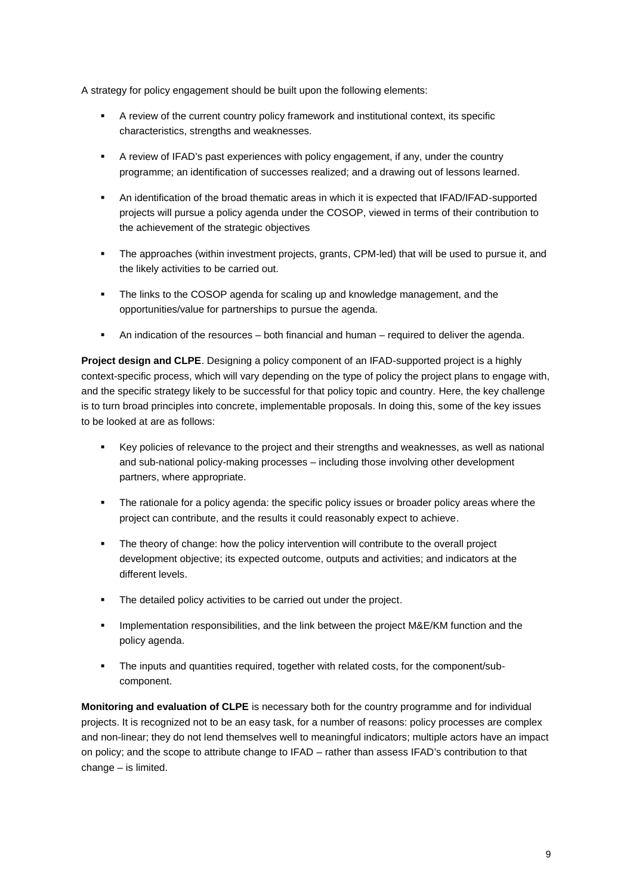A strategy for policy engagement should be built upon the following elements:

- A review of the current country policy framework and institutional context, its specific characteristics, strengths and weaknesses.
- A review of IFAD's past experiences with policy engagement, if any, under the country programme; an identification of successes realized; and a drawing out of lessons learned.
- An identification of the broad thematic areas in which it is expected that IFAD/IFAD-supported projects will pursue a policy agenda under the COSOP, viewed in terms of their contribution to the achievement of the strategic objectives
- The approaches (within investment projects, grants, CPM-led) that will be used to pursue it, and the likely activities to be carried out.
- The links to the COSOP agenda for scaling up and knowledge management, and the opportunities/value for partnerships to pursue the agenda.
- An indication of the resources both financial and human required to deliver the agenda.

**Project design and CLPE**. Designing a policy component of an IFAD-supported project is a highly context-specific process, which will vary depending on the type of policy the project plans to engage with, and the specific strategy likely to be successful for that policy topic and country. Here, the key challenge is to turn broad principles into concrete, implementable proposals. In doing this, some of the key issues to be looked at are as follows:

- Key policies of relevance to the project and their strengths and weaknesses, as well as national and sub-national policy-making processes – including those involving other development partners, where appropriate.
- The rationale for a policy agenda: the specific policy issues or broader policy areas where the project can contribute, and the results it could reasonably expect to achieve.
- The theory of change: how the policy intervention will contribute to the overall project development objective; its expected outcome, outputs and activities; and indicators at the different levels.
- The detailed policy activities to be carried out under the project.
- Implementation responsibilities, and the link between the project M&E/KM function and the policy agenda.
- The inputs and quantities required, together with related costs, for the component/sub component.

**Monitoring and evaluation of CLPE** is necessary both for the country programme and for individual projects. It is recognized not to be an easy task, for a number of reasons: policy processes are complex and non-linear; they do not lend themselves well to meaningful indicators; multiple actors have an impact on policy; and the scope to attribute change to IFAD – rather than assess IFAD's contribution to that change – is limited.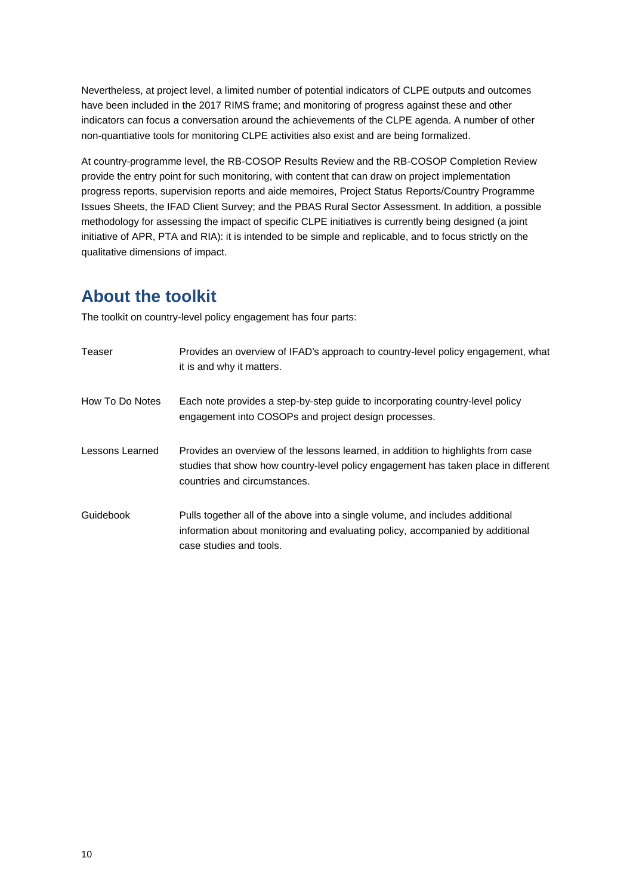Nevertheless, at project level, a limited number of potential indicators of CLPE outputs and outcomes have been included in the 2017 RIMS frame; and monitoring of progress against these and other indicators can focus a conversation around the achievements of the CLPE agenda. A number of other non-quantiative tools for monitoring CLPE activities also exist and are being formalized.

At country-programme level, the RB-COSOP Results Review and the RB-COSOP Completion Review provide the entry point for such monitoring, with content that can draw on project implementation progress reports, supervision reports and aide memoires, Project Status Reports/Country Programme Issues Sheets, the IFAD Client Survey; and the PBAS Rural Sector Assessment. In addition, a possible methodology for assessing the impact of specific CLPE initiatives is currently being designed (a joint initiative of APR, PTA and RIA): it is intended to be simple and replicable, and to focus strictly on the qualitative dimensions of impact.

# **About the toolkit**

The toolkit on country-level policy engagement has four parts:

| Teaser          | Provides an overview of IFAD's approach to country-level policy engagement, what<br>it is and why it matters.                                                                                          |
|-----------------|--------------------------------------------------------------------------------------------------------------------------------------------------------------------------------------------------------|
| How To Do Notes | Each note provides a step-by-step guide to incorporating country-level policy<br>engagement into COSOPs and project design processes.                                                                  |
| Lessons Learned | Provides an overview of the lessons learned, in addition to highlights from case<br>studies that show how country-level policy engagement has taken place in different<br>countries and circumstances. |
| Guidebook       | Pulls together all of the above into a single volume, and includes additional<br>information about monitoring and evaluating policy, accompanied by additional<br>case studies and tools.              |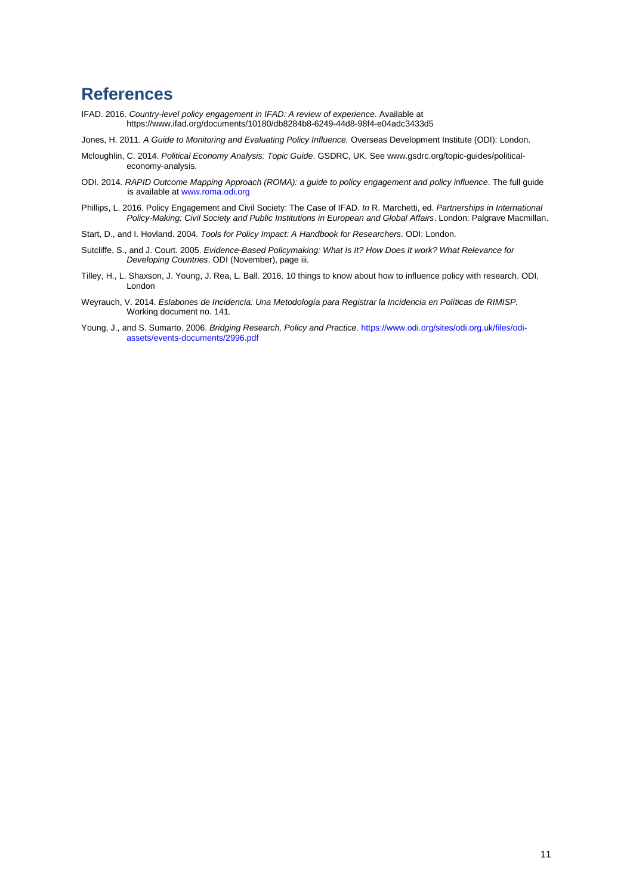# **References**

- IFAD. 2016. *Country-level policy engagement in IFAD: A review of experience*. Available at https://www.ifad.org/documents/10180/db8284b8-6249-44d8-98f4-e04adc3433d5
- Jones, H. 2011. *A Guide to Monitoring and Evaluating Policy Influence.* Overseas Development Institute (ODI): London.
- Mcloughlin, C. 2014. *Political Economy Analysis: Topic Guide*. GSDRC, UK. See www.gsdrc.org/topic-guides/political economy-analysis.
- ODI. 2014. *RAPID Outcome Mapping Approach (ROMA): a guide to policy engagement and policy influence*. The full guide is available at www.roma.odi.org
- Phillips, L. 2016. Policy Engagement and Civil Society: The Case of IFAD. *In* R. Marchetti, ed. *Partnerships in International Policy-Making: Civil Society and Public Institutions in European and Global Affairs*. London: Palgrave Macmillan.
- Start, D., and I. Hovland. 2004. *Tools for Policy Impact: A Handbook for Researchers*. ODI: London.
- Sutcliffe, S., and J. Court. 2005. *Evidence-Based Policymaking: What Is It? How Does It work? What Relevance for Developing Countries*. ODI (November), page iii.
- Tilley, H., L. Shaxson, J. Young, J. Rea, L. Ball. 2016. 10 things to know about how to influence policy with research. ODI, London
- Weyrauch, V. 2014. *Eslabones de Incidencia: Una Metodología para Registrar la Incidencia en Políticas de RIMISP.* Working document no. 141*.*
- Young, J., and S. Sumarto. 2006. *Bridging Research, Policy and Practice.* https://www.odi.org/sites/odi.org.uk/files/odi assets/events-documents/2996.pdf